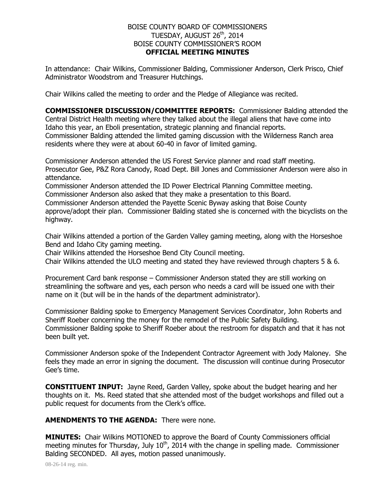## BOISE COUNTY BOARD OF COMMISSIONERS TUESDAY, AUGUST 26<sup>th</sup>, 2014 BOISE COUNTY COMMISSIONER'S ROOM **OFFICIAL MEETING MINUTES**

In attendance: Chair Wilkins, Commissioner Balding, Commissioner Anderson, Clerk Prisco, Chief Administrator Woodstrom and Treasurer Hutchings.

Chair Wilkins called the meeting to order and the Pledge of Allegiance was recited.

**COMMISSIONER DISCUSSION/COMMITTEE REPORTS:** Commissioner Balding attended the Central District Health meeting where they talked about the illegal aliens that have come into Idaho this year, an Eboli presentation, strategic planning and financial reports. Commissioner Balding attended the limited gaming discussion with the Wilderness Ranch area residents where they were at about 60-40 in favor of limited gaming.

Commissioner Anderson attended the US Forest Service planner and road staff meeting. Prosecutor Gee, P&Z Rora Canody, Road Dept. Bill Jones and Commissioner Anderson were also in attendance.

Commissioner Anderson attended the ID Power Electrical Planning Committee meeting. Commissioner Anderson also asked that they make a presentation to this Board.

Commissioner Anderson attended the Payette Scenic Byway asking that Boise County

approve/adopt their plan. Commissioner Balding stated she is concerned with the bicyclists on the highway.

Chair Wilkins attended a portion of the Garden Valley gaming meeting, along with the Horseshoe Bend and Idaho City gaming meeting.

Chair Wilkins attended the Horseshoe Bend City Council meeting.

Chair Wilkins attended the ULO meeting and stated they have reviewed through chapters 5 & 6.

Procurement Card bank response – Commissioner Anderson stated they are still working on streamlining the software and yes, each person who needs a card will be issued one with their name on it (but will be in the hands of the department administrator).

Commissioner Balding spoke to Emergency Management Services Coordinator, John Roberts and Sheriff Roeber concerning the money for the remodel of the Public Safety Building. Commissioner Balding spoke to Sheriff Roeber about the restroom for dispatch and that it has not been built yet.

Commissioner Anderson spoke of the Independent Contractor Agreement with Jody Maloney. She feels they made an error in signing the document. The discussion will continue during Prosecutor Gee's time.

**CONSTITUENT INPUT:** Jayne Reed, Garden Valley, spoke about the budget hearing and her thoughts on it. Ms. Reed stated that she attended most of the budget workshops and filled out a public request for documents from the Clerk's office.

## **AMENDMENTS TO THE AGENDA:** There were none.

**MINUTES:** Chair Wilkins MOTIONED to approve the Board of County Commissioners official meeting minutes for Thursday, July  $10^{th}$ , 2014 with the change in spelling made. Commissioner Balding SECONDED. All ayes, motion passed unanimously.

08-26-14 reg. min.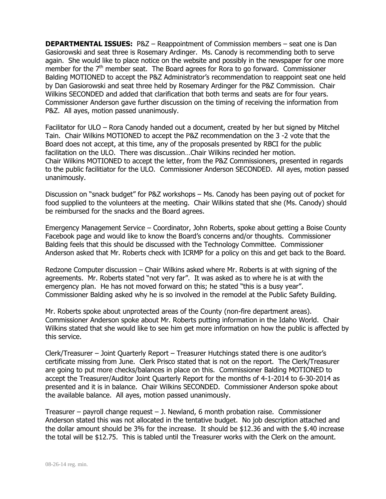**DEPARTMENTAL ISSUES:** P&Z – Reappointment of Commission members – seat one is Dan Gasiorowski and seat three is Rosemary Ardinger. Ms. Canody is recommending both to serve again. She would like to place notice on the website and possibly in the newspaper for one more member for the  $7<sup>th</sup>$  member seat. The Board agrees for Rora to go forward. Commissioner Balding MOTIONED to accept the P&Z Administrator's recommendation to reappoint seat one held by Dan Gasiorowski and seat three held by Rosemary Ardinger for the P&Z Commission. Chair Wilkins SECONDED and added that clarification that both terms and seats are for four years. Commissioner Anderson gave further discussion on the timing of receiving the information from P&Z. All ayes, motion passed unanimously.

Facilitator for ULO – Rora Canody handed out a document, created by her but signed by Mitchel Tain. Chair Wilkins MOTIONED to accept the P&Z recommendation on the 3 -2 vote that the Board does not accept, at this time, any of the proposals presented by RBCI for the public facilitation on the ULO. There was discussion…Chair Wilkins recinded her motion. Chair Wilkins MOTIONED to accept the letter, from the P&Z Commissioners, presented in regards to the public facilitiator for the ULO. Commissioner Anderson SECONDED. All ayes, motion passed unanimously.

Discussion on "snack budget" for P&Z workshops – Ms. Canody has been paying out of pocket for food supplied to the volunteers at the meeting. Chair Wilkins stated that she (Ms. Canody) should be reimbursed for the snacks and the Board agrees.

Emergency Management Service – Coordinator, John Roberts, spoke about getting a Boise County Facebook page and would like to know the Board's concerns and/or thoughts. Commissioner Balding feels that this should be discussed with the Technology Committee. Commissioner Anderson asked that Mr. Roberts check with ICRMP for a policy on this and get back to the Board.

Redzone Computer discussion – Chair Wilkins asked where Mr. Roberts is at with signing of the agreements. Mr. Roberts stated "not very far". It was asked as to where he is at with the emergency plan. He has not moved forward on this; he stated "this is a busy year". Commissioner Balding asked why he is so involved in the remodel at the Public Safety Building.

Mr. Roberts spoke about unprotected areas of the County (non-fire department areas). Commissioner Anderson spoke about Mr. Roberts putting information in the Idaho World. Chair Wilkins stated that she would like to see him get more information on how the public is affected by this service.

Clerk/Treasurer – Joint Quarterly Report – Treasurer Hutchings stated there is one auditor's certificate missing from June. Clerk Prisco stated that is not on the report. The Clerk/Treasurer are going to put more checks/balances in place on this. Commissioner Balding MOTIONED to accept the Treasurer/Auditor Joint Quarterly Report for the months of 4-1-2014 to 6-30-2014 as presented and it is in balance. Chair Wilkins SECONDED. Commissioner Anderson spoke about the available balance. All ayes, motion passed unanimously.

Treasurer – payroll change request – J. Newland, 6 month probation raise. Commissioner Anderson stated this was not allocated in the tentative budget. No job description attached and the dollar amount should be 3% for the increase. It should be \$12.36 and with the \$.40 increase the total will be \$12.75. This is tabled until the Treasurer works with the Clerk on the amount.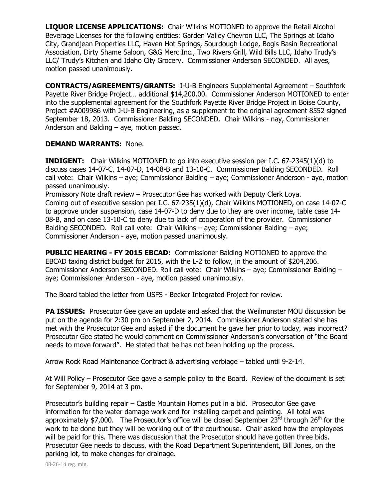**LIQUOR LICENSE APPLICATIONS:** Chair Wilkins MOTIONED to approve the Retail Alcohol Beverage Licenses for the following entities: Garden Valley Chevron LLC, The Springs at Idaho City, Grandjean Properties LLC, Haven Hot Springs, Sourdough Lodge, Bogis Basin Recreational Association, Dirty Shame Saloon, G&G Merc Inc., Two Rivers Grill, Wild Bills LLC, Idaho Trudy's LLC/ Trudy's Kitchen and Idaho City Grocery. Commissioner Anderson SECONDED. All ayes, motion passed unanimously.

**CONTRACTS/AGREEMENTS/GRANTS:** J-U-B Engineers Supplemental Agreement – Southfork Payette River Bridge Project… additional \$14,200.00. Commissioner Anderson MOTIONED to enter into the supplemental agreement for the Southfork Payette River Bridge Project in Boise County, Project #A009986 with J-U-B Engineering, as a supplement to the original agreement 8552 signed September 18, 2013. Commissioner Balding SECONDED. Chair Wilkins - nay, Commissioner Anderson and Balding – aye, motion passed.

## **DEMAND WARRANTS:** None.

**INDIGENT:** Chair Wilkins MOTIONED to go into executive session per I.C. 67-2345(1)(d) to discuss cases 14-07-C, 14-07-D, 14-08-B and 13-10-C. Commissioner Balding SECONDED. Roll call vote: Chair Wilkins – aye; Commissioner Balding – aye; Commissioner Anderson - aye, motion passed unanimously.

Promissory Note draft review – Prosecutor Gee has worked with Deputy Clerk Loya. Coming out of executive session per I.C. 67-235(1)(d), Chair Wilkins MOTIONED, on case 14-07-C to approve under suspension, case 14-07-D to deny due to they are over income, table case 14- 08-B, and on case 13-10-C to deny due to lack of cooperation of the provider. Commissioner Balding SECONDED. Roll call vote: Chair Wilkins – aye; Commissioner Balding – aye; Commissioner Anderson - aye, motion passed unanimously.

**PUBLIC HEARING - FY 2015 EBCAD:** Commissioner Balding MOTIONED to approve the EBCAD taxing district budget for 2015, with the L-2 to follow, in the amount of \$204,206. Commissioner Anderson SECONDED. Roll call vote: Chair Wilkins – aye; Commissioner Balding – aye; Commissioner Anderson - aye, motion passed unanimously.

The Board tabled the letter from USFS - Becker Integrated Project for review.

**PA ISSUES:** Prosecutor Gee gave an update and asked that the Weilmunster MOU discussion be put on the agenda for 2:30 pm on September 2, 2014. Commissioner Anderson stated she has met with the Prosecutor Gee and asked if the document he gave her prior to today, was incorrect? Prosecutor Gee stated he would comment on Commissioner Anderson's conversation of "the Board needs to move forward". He stated that he has not been holding up the process.

Arrow Rock Road Maintenance Contract & advertising verbiage – tabled until 9-2-14.

At Will Policy – Prosecutor Gee gave a sample policy to the Board. Review of the document is set for September 9, 2014 at 3 pm.

Prosecutor's building repair – Castle Mountain Homes put in a bid. Prosecutor Gee gave information for the water damage work and for installing carpet and painting. All total was approximately \$7,000. The Prosecutor's office will be closed September  $23^{rd}$  through  $26^{th}$  for the work to be done but they will be working out of the courthouse. Chair asked how the employees will be paid for this. There was discussion that the Prosecutor should have gotten three bids. Prosecutor Gee needs to discuss, with the Road Department Superintendent, Bill Jones, on the parking lot, to make changes for drainage.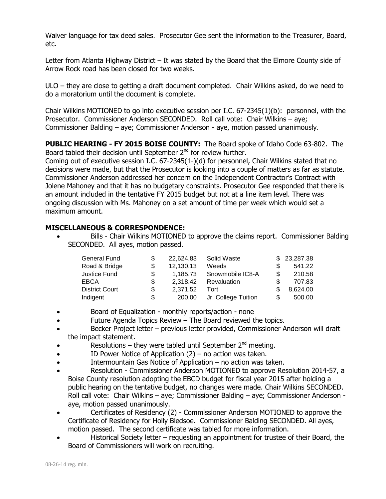Waiver language for tax deed sales. Prosecutor Gee sent the information to the Treasurer, Board, etc.

Letter from Atlanta Highway District – It was stated by the Board that the Elmore County side of Arrow Rock road has been closed for two weeks.

ULO – they are close to getting a draft document completed. Chair Wilkins asked, do we need to do a moratorium until the document is complete.

Chair Wilkins MOTIONED to go into executive session per I.C. 67-2345(1)(b): personnel, with the Prosecutor. Commissioner Anderson SECONDED. Roll call vote: Chair Wilkins – aye; Commissioner Balding – aye; Commissioner Anderson - aye, motion passed unanimously.

**PUBLIC HEARING - FY 2015 BOISE COUNTY:** The Board spoke of Idaho Code 63-802. The Board tabled their decision until September 2<sup>nd</sup> for review further.

Coming out of executive session I.C. 67-2345(1-)(d) for personnel, Chair Wilkins stated that no decisions were made, but that the Prosecutor is looking into a couple of matters as far as statute. Commissioner Anderson addressed her concern on the Independent Contractor's Contract with Jolene Mahoney and that it has no budgetary constraints. Prosecutor Gee responded that there is an amount included in the tentative FY 2015 budget but not at a line item level. There was ongoing discussion with Ms. Mahoney on a set amount of time per week which would set a maximum amount.

## **MISCELLANEOUS & CORRESPONDENCE:**

 Bills - Chair Wilkins MOTIONED to approve the claims report. Commissioner Balding SECONDED. All ayes, motion passed.

| <b>General Fund</b>   |    | 22,624.83 | Solid Waste         | \$23,287.38  |
|-----------------------|----|-----------|---------------------|--------------|
| Road & Bridge         |    | 12,130.13 | Weeds               | 541.22       |
| Justice Fund          | S  | 1.185.73  | Snowmobile IC8-A    | \$<br>210.58 |
| <b>EBCA</b>           | \$ | 2.318.42  | Revaluation         | 707.83       |
| <b>District Court</b> | \$ | 2,371.52  | Tort                | 8,624.00     |
| Indigent              | S  | 200.00    | Jr. College Tuition | 500.00       |

- Board of Equalization monthly reports/action none
- Future Agenda Topics Review The Board reviewed the topics.
- Becker Project letter previous letter provided, Commissioner Anderson will draft the impact statement.
- Resolutions they were tabled until September  $2^{nd}$  meeting.
- ID Power Notice of Application (2) no action was taken.
- Intermountain Gas Notice of Application no action was taken.
- Resolution Commissioner Anderson MOTIONED to approve Resolution 2014-57, a Boise County resolution adopting the EBCD budget for fiscal year 2015 after holding a public hearing on the tentative budget, no changes were made. Chair Wilkins SECONDED. Roll call vote: Chair Wilkins – aye; Commissioner Balding – aye; Commissioner Anderson aye, motion passed unanimously.
- Certificates of Residency (2) Commissioner Anderson MOTIONED to approve the Certificate of Residency for Holly Bledsoe. Commissioner Balding SECONDED. All ayes, motion passed. The second certificate was tabled for more information.
- Historical Society letter requesting an appointment for trustee of their Board, the Board of Commissioners will work on recruiting.